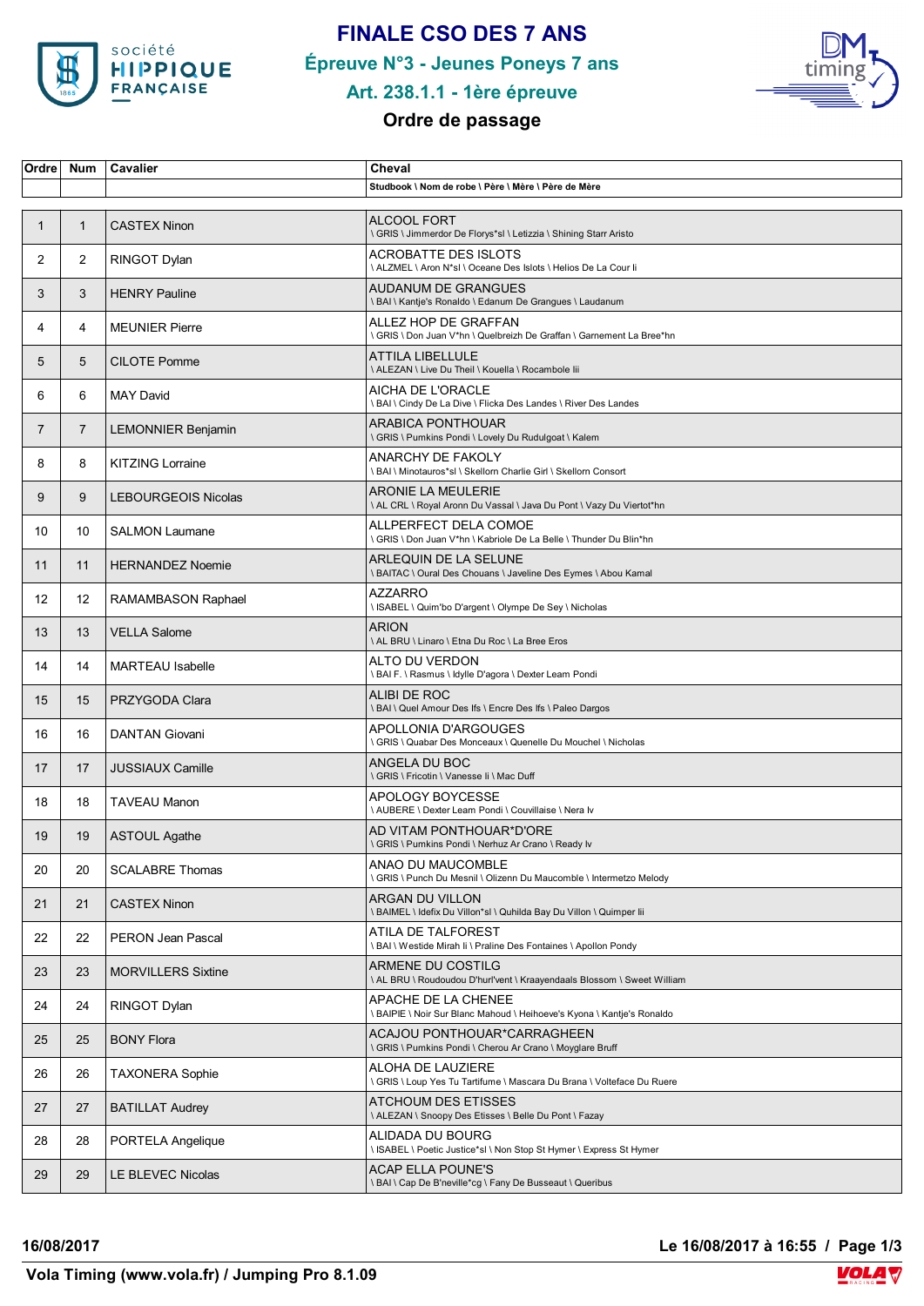

# **FINALE CSO DES 7 ANS**

**Épreuve N°3 - Jeunes Poneys 7 ans**



# **Art. 238.1.1 - 1ère épreuve**

## **Ordre de passage**

| Ordre          | <b>Num</b>     | Cavalier                   | Cheval                                                                                            |
|----------------|----------------|----------------------------|---------------------------------------------------------------------------------------------------|
|                |                |                            | Studbook \ Nom de robe \ Père \ Mère \ Père de Mère                                               |
| $\mathbf 1$    | $\mathbf{1}$   | <b>CASTEX Ninon</b>        | <b>ALCOOL FORT</b><br>\ GRIS \ Jimmerdor De Florys*sl \ Letizzia \ Shining Starr Aristo           |
| $\overline{2}$ | $\overline{2}$ | RINGOT Dylan               | <b>ACROBATTE DES ISLOTS</b><br>\ ALZMEL \ Aron N*sl \ Oceane Des Islots \ Helios De La Cour li    |
| 3              | 3              | <b>HENRY Pauline</b>       | AUDANUM DE GRANGUES<br>\ BAI \ Kantje's Ronaldo \ Edanum De Grangues \ Laudanum                   |
| 4              | 4              | <b>MEUNIER Pierre</b>      | ALLEZ HOP DE GRAFFAN<br>\ GRIS \ Don Juan V*hn \ Quelbreizh De Graffan \ Garnement La Bree*hn     |
| 5              | 5              | <b>CILOTE Pomme</b>        | <b>ATTILA LIBELLULE</b><br>\ ALEZAN \ Live Du Theil \ Kouella \ Rocambole lii                     |
| 6              | 6              | <b>MAY David</b>           | AICHA DE L'ORACLE<br>I BAI I Cindy De La Dive I Flicka Des Landes I River Des Landes              |
| $\overline{7}$ | $\overline{7}$ | <b>LEMONNIER Benjamin</b>  | ARABICA PONTHOUAR<br>\GRIS \ Pumkins Pondi \ Lovely Du Rudulgoat \ Kalem                          |
| 8              | 8              | <b>KITZING Lorraine</b>    | ANARCHY DE FAKOLY<br>\ BAI \ Minotauros*sl \ Skellorn Charlie Girl \ Skellorn Consort             |
| 9              | 9              | <b>LEBOURGEOIS Nicolas</b> | <b>ARONIE LA MEULERIE</b><br>\ AL CRL \ Royal Aronn Du Vassal \ Java Du Pont \ Vazy Du Viertot*hn |
| 10             | 10             | <b>SALMON Laumane</b>      | ALLPERFECT DELA COMOE<br>\ GRIS \ Don Juan V*hn \ Kabriole De La Belle \ Thunder Du Blin*hn       |
| 11             | 11             | <b>HERNANDEZ Noemie</b>    | ARLEQUIN DE LA SELUNE<br>\ BAITAC \ Oural Des Chouans \ Javeline Des Eymes \ Abou Kamal           |
| 12             | 12             | RAMAMBASON Raphael         | <b>AZZARRO</b><br>ISABEL \ Quim'bo D'argent \ Olympe De Sey \ Nicholas                            |
| 13             | 13             | <b>VELLA Salome</b>        | <b>ARION</b><br>\ AL BRU \ Linaro \ Etna Du Roc \ La Bree Eros                                    |
| 14             | 14             | <b>MARTEAU</b> Isabelle    | ALTO DU VERDON<br>\ BAI F. \ Rasmus \ Idylle D'agora \ Dexter Leam Pondi                          |
| 15             | 15             | PRZYGODA Clara             | ALIBI DE ROC<br><b>\BAI\Quel Amour Des Ifs \Encre Des Ifs \Paleo Dargos</b>                       |
| 16             | 16             | <b>DANTAN Giovani</b>      | APOLLONIA D'ARGOUGES<br>\ GRIS \ Quabar Des Monceaux \ Quenelle Du Mouchel \ Nicholas             |
| 17             | 17             | <b>JUSSIAUX Camille</b>    | ANGELA DU BOC<br>\ GRIS \ Fricotin \ Vanesse Ii \ Mac Duff                                        |
| 18             | 18             | <b>TAVEAU Manon</b>        | APOLOGY BOYCESSE<br>\ AUBERE \ Dexter Leam Pondi \ Couvillaise \ Nera Iv                          |
| 19             | 19             | <b>ASTOUL Agathe</b>       | AD VITAM PONTHOUAR*D'ORE<br>\ GRIS \ Pumkins Pondi \ Nerhuz Ar Crano \ Ready Iv                   |
| 20             | 20             | <b>SCALABRE Thomas</b>     | ANAO DU MAUCOMBLE<br>\ GRIS \ Punch Du Mesnil \ Olizenn Du Maucomble \ Intermetzo Melody          |
| 21             | 21             | <b>CASTEX Ninon</b>        | ARGAN DU VILLON<br>\ BAIMEL \ Idefix Du Villon*sl \ Quhilda Bay Du Villon \ Quimper lii           |
| 22             | 22             | <b>PERON Jean Pascal</b>   | ATILA DE TALFOREST<br>\ BAI \ Westide Mirah Ii \ Praline Des Fontaines \ Apollon Pondy            |
| 23             | 23             | <b>MORVILLERS Sixtine</b>  | ARMENE DU COSTILG<br>\ AL BRU \ Roudoudou D'hurl'vent \ Kraayendaals Blossom \ Sweet William      |
| 24             | 24             | RINGOT Dylan               | APACHE DE LA CHENEE<br>\ BAIPIE \ Noir Sur Blanc Mahoud \ Heihoeve's Kyona \ Kantje's Ronaldo     |
| 25             | 25             | <b>BONY Flora</b>          | ACAJOU PONTHOUAR*CARRAGHEEN<br>\GRIS\Pumkins Pondi\Cherou Ar Crano\Moyglare Bruff                 |
| 26             | 26             | <b>TAXONERA Sophie</b>     | ALOHA DE LAUZIERE<br>\ GRIS \ Loup Yes Tu Tartifume \ Mascara Du Brana \ Volteface Du Ruere       |
| 27             | 27             | <b>BATILLAT Audrey</b>     | ATCHOUM DES ETISSES<br>\ ALEZAN \ Snoopy Des Etisses \ Belle Du Pont \ Fazay                      |
| 28             | 28             | PORTELA Angelique          | ALIDADA DU BOURG<br>\ ISABEL \ Poetic Justice*sl \ Non Stop St Hymer \ Express St Hymer           |
| 29             | 29             | LE BLEVEC Nicolas          | ACAP ELLA POUNE'S<br>\ BAI \ Cap De B'neville*cg \ Fany De Busseaut \ Queribus                    |

**16/08/2017 Le 16/08/2017 à 16:55 / Page 1/3**

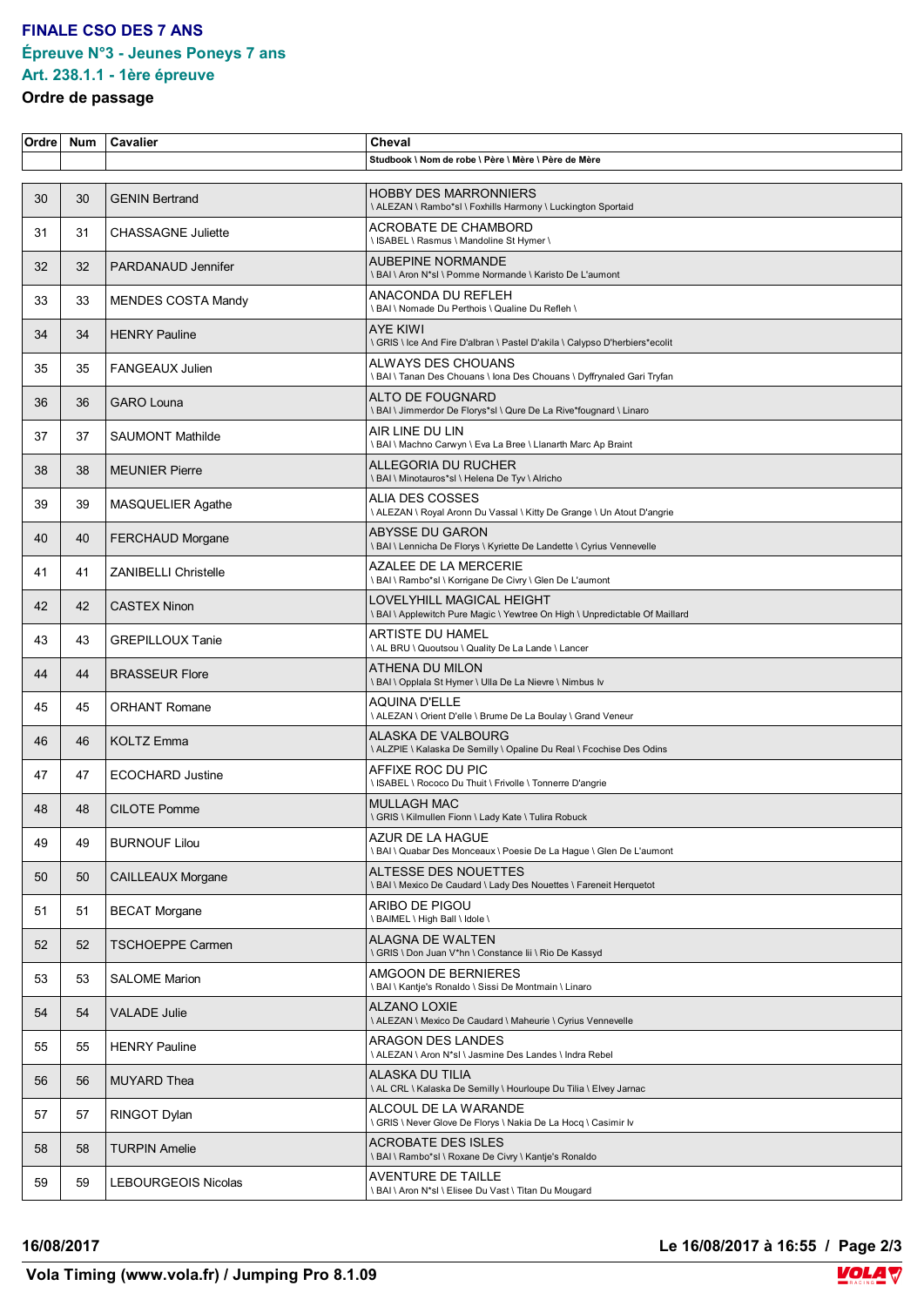#### **FINALE CSO DES 7 ANS Épreuve N°3 - Jeunes Poneys 7 ans**

# **Art. 238.1.1 - 1ère épreuve**

#### **Ordre de passage**

| Ordrel | <b>Num</b> | Cavalier                    | Cheval                                                                                                   |
|--------|------------|-----------------------------|----------------------------------------------------------------------------------------------------------|
|        |            |                             | Studbook \ Nom de robe \ Père \ Mère \ Père de Mère                                                      |
| 30     | 30         | <b>GENIN Bertrand</b>       | <b>HOBBY DES MARRONNIERS</b><br>\ ALEZAN \ Rambo*sl \ Foxhills Harmony \ Luckington Sportaid             |
| 31     | 31         | <b>CHASSAGNE Juliette</b>   | ACROBATE DE CHAMBORD<br>\ ISABEL \ Rasmus \ Mandoline St Hymer \                                         |
| 32     | 32         | PARDANAUD Jennifer          | <b>AUBEPINE NORMANDE</b><br>\ BAI \ Aron N*sl \ Pomme Normande \ Karisto De L'aumont                     |
| 33     | 33         | <b>MENDES COSTA Mandy</b>   | ANACONDA DU REFLEH<br>\ BAI \ Nomade Du Perthois \ Qualine Du Refleh \                                   |
| 34     | 34         | <b>HENRY Pauline</b>        | <b>AYE KIWI</b><br>\ GRIS \ Ice And Fire D'albran \ Pastel D'akila \ Calypso D'herbiers*ecolit           |
| 35     | 35         | <b>FANGEAUX Julien</b>      | ALWAYS DES CHOUANS<br>\ BAI \ Tanan Des Chouans \ Iona Des Chouans \ Dyffrynaled Gari Tryfan             |
| 36     | 36         | <b>GARO Louna</b>           | ALTO DE FOUGNARD<br>\ BAI \ Jimmerdor De Florys*sl \ Qure De La Rive*fougnard \ Linaro                   |
| 37     | 37         | <b>SAUMONT Mathilde</b>     | AIR LINE DU LIN<br>\ BAI \ Machno Carwyn \ Eva La Bree \ Llanarth Marc Ap Braint                         |
| 38     | 38         | <b>MEUNIER Pierre</b>       | ALLEGORIA DU RUCHER<br>\ BAI \ Minotauros*sl \ Helena De Tyv \ Alricho                                   |
| 39     | 39         | <b>MASQUELIER Agathe</b>    | ALIA DES COSSES<br>\ ALEZAN \ Royal Aronn Du Vassal \ Kitty De Grange \ Un Atout D'angrie                |
| 40     | 40         | <b>FERCHAUD Morgane</b>     | <b>ABYSSE DU GARON</b><br>\ BAI \ Lennicha De Florys \ Kyriette De Landette \ Cyrius Vennevelle          |
| 41     | 41         | <b>ZANIBELLI Christelle</b> | AZALEE DE LA MERCERIE<br>\ BAI \ Rambo*sl \ Korrigane De Civry \ Glen De L'aumont                        |
| 42     | 42         | <b>CASTEX Ninon</b>         | LOVELYHILL MAGICAL HEIGHT<br>\ BAI \ Applewitch Pure Magic \ Yewtree On High \ Unpredictable Of Maillard |
| 43     | 43         | <b>GREPILLOUX Tanie</b>     | ARTISTE DU HAMEL<br>\ AL BRU \ Quoutsou \ Quality De La Lande \ Lancer                                   |
| 44     | 44         | <b>BRASSEUR Flore</b>       | ATHENA DU MILON<br>I BAI \ Opplala St Hymer \ Ulla De La Nievre \ Nimbus Iv                              |
| 45     | 45         | <b>ORHANT Romane</b>        | AQUINA D'ELLE<br>\ ALEZAN \ Orient D'elle \ Brume De La Boulay \ Grand Veneur                            |
| 46     | 46         | <b>KOLTZ Emma</b>           | ALASKA DE VALBOURG<br>\ ALZPIE \ Kalaska De Semilly \ Opaline Du Real \ Fcochise Des Odins               |
| 47     | 47         | <b>ECOCHARD Justine</b>     | AFFIXE ROC DU PIC<br>\ ISABEL \ Rococo Du Thuit \ Frivolle \ Tonnerre D'angrie                           |
| 48     | 48         | <b>CILOTE Pomme</b>         | <b>MULLAGH MAC</b><br>\ GRIS \ Kilmullen Fionn \ Lady Kate \ Tulira Robuck                               |
| 49     | 49         | <b>BURNOUF Lilou</b>        | AZUR DE LA HAGUE<br>I BAI \ Quabar Des Monceaux \ Poesie De La Hague \ Glen De L'aumont                  |
| 50     | 50         | <b>CAILLEAUX Morgane</b>    | ALTESSE DES NOUETTES<br>\ BAI \ Mexico De Caudard \ Lady Des Nouettes \ Fareneit Herquetot               |
| 51     | 51         | <b>BECAT Morgane</b>        | ARIBO DE PIGOU<br>\ BAIMEL \ High Ball \ Idole \                                                         |
| 52     | 52         | TSCHOEPPE Carmen            | ALAGNA DE WALTEN<br>\ GRIS \ Don Juan V*hn \ Constance lii \ Rio De Kassyd                               |
| 53     | 53         | <b>SALOME Marion</b>        | AMGOON DE BERNIERES<br>\ BAI \ Kantje's Ronaldo \ Sissi De Montmain \ Linaro                             |
| 54     | 54         | <b>VALADE Julie</b>         | <b>ALZANO LOXIE</b><br>\ ALEZAN \ Mexico De Caudard \ Maheurie \ Cyrius Vennevelle                       |
| 55     | 55         | <b>HENRY Pauline</b>        | ARAGON DES LANDES<br>\ ALEZAN \ Aron N*sl \ Jasmine Des Landes \ Indra Rebel                             |
| 56     | 56         | MUYARD Thea                 | ALASKA DU TILIA<br>\ AL CRL \ Kalaska De Semilly \ Hourloupe Du Tilia \ Elvey Jarnac                     |
| 57     | 57         | RINGOT Dylan                | ALCOUL DE LA WARANDE<br>\ GRIS \ Never Glove De Florys \ Nakia De La Hocq \ Casimir lv                   |
| 58     | 58         | <b>TURPIN Amelie</b>        | <b>ACROBATE DES ISLES</b><br>\ BAI \ Rambo*sl \ Roxane De Civry \ Kantje's Ronaldo                       |
| 59     | 59         | LEBOURGEOIS Nicolas         | AVENTURE DE TAILLE<br>\ BAI \ Aron N*sl \ Elisee Du Vast \ Titan Du Mougard                              |

**16/08/2017 Le 16/08/2017 à 16:55 / Page 2/3**